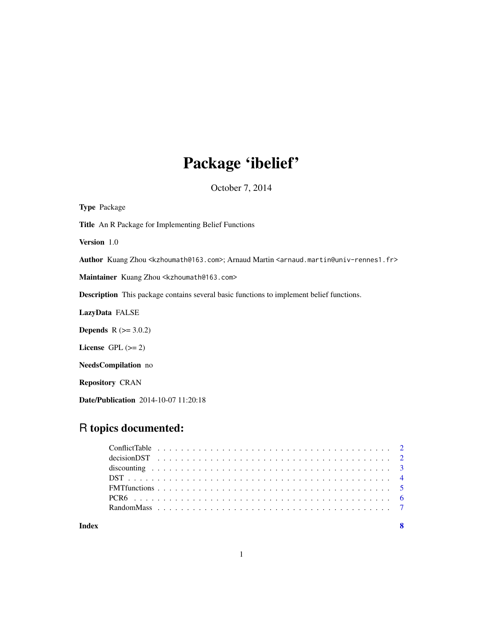# Package 'ibelief'

October 7, 2014

| <b>Type Package</b>                                                                                                                      |
|------------------------------------------------------------------------------------------------------------------------------------------|
| <b>Title</b> An R Package for Implementing Belief Functions                                                                              |
| Version 1.0                                                                                                                              |
| Author Kuang Zhou <kzhoumath@163.com>; Arnaud Martin <arnaud.martin@univ-rennes1.fr></arnaud.martin@univ-rennes1.fr></kzhoumath@163.com> |
| Maintainer Kuang Zhou <kzhoumath@163.com></kzhoumath@163.com>                                                                            |
| <b>Description</b> This package contains several basic functions to implement belief functions.                                          |
| LazyData FALSE                                                                                                                           |
| <b>Depends</b> $R (= 3.0.2)$                                                                                                             |
| License GPL $(>= 2)$                                                                                                                     |
| NeedsCompilation no                                                                                                                      |
| <b>Repository CRAN</b>                                                                                                                   |
| <b>Date/Publication</b> 2014-10-07 11:20:18                                                                                              |
|                                                                                                                                          |

# R topics documented: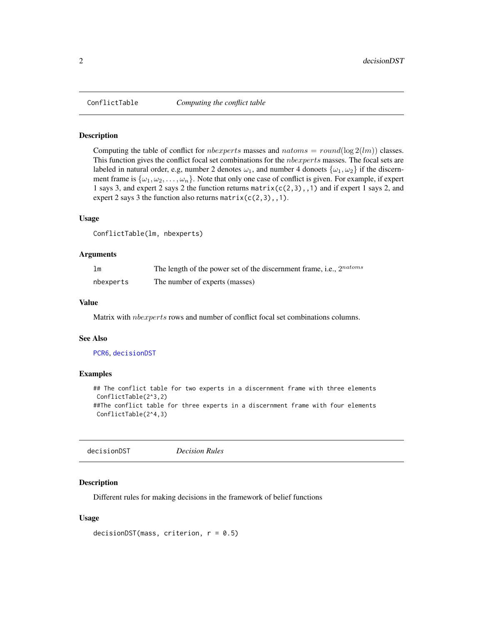<span id="page-1-2"></span><span id="page-1-0"></span>

#### Description

Computing the table of conflict for *nbexperts* masses and  $natoms = round(log 2(lm))$  classes. This function gives the conflict focal set combinations for the *nbexperts* masses. The focal sets are labeled in natural order, e.g, number 2 denotes  $\omega_1$ , and number 4 donoets  $\{\omega_1, \omega_2\}$  if the discernment frame is  $\{\omega_1, \omega_2, \dots, \omega_n\}$ . Note that only one case of conflict is given. For example, if expert 1 says 3, and expert 2 says 2 the function returns  $matrix(c(2,3),,1)$  and if expert 1 says 2, and expert 2 says 3 the function also returns  $matrix(c(2,3),,1)$ .

#### Usage

```
ConflictTable(lm, nbexperts)
```
#### Arguments

|           | The length of the power set of the discernment frame, i.e., $2^{natoms}$ |
|-----------|--------------------------------------------------------------------------|
| nbexperts | The number of experts (masses)                                           |

#### Value

Matrix with nbexperts rows and number of conflict focal set combinations columns.

#### See Also

#### [PCR6](#page-5-1), [decisionDST](#page-1-1)

#### Examples

```
## The conflict table for two experts in a discernment frame with three elements
ConflictTable(2^3,2)
##The conflict table for three experts in a discernment frame with four elements
ConflictTable(2^4,3)
```
<span id="page-1-1"></span>decisionDST *Decision Rules*

#### Description

Different rules for making decisions in the framework of belief functions

#### Usage

```
decisionDST(mass, criterion, r = 0.5)
```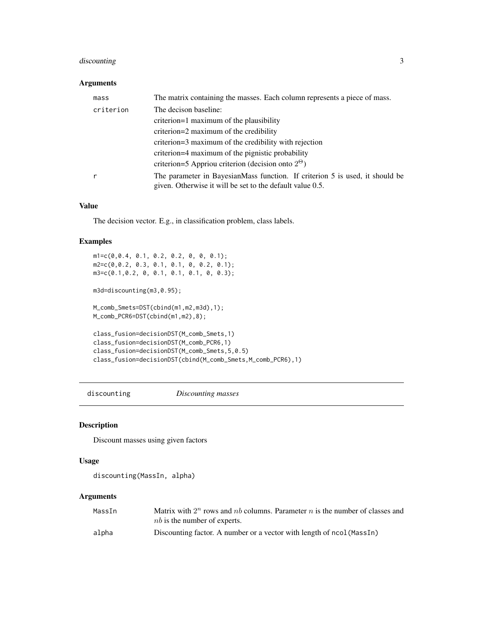# <span id="page-2-0"></span>discounting 3

#### Arguments

| mass      | The matrix containing the masses. Each column represents a piece of mass.                                                                 |
|-----------|-------------------------------------------------------------------------------------------------------------------------------------------|
| criterion | The decison baseline:                                                                                                                     |
|           | criterion=1 maximum of the plausibility                                                                                                   |
|           | criterion=2 maximum of the credibility                                                                                                    |
|           | criterion=3 maximum of the credibility with rejection                                                                                     |
|           | criterion=4 maximum of the pignistic probability                                                                                          |
|           | criterion=5 Appriou criterion (decision onto $2^{\Theta}$ )                                                                               |
|           | The parameter in BayesianMass function. If criterion 5 is used, it should be<br>given. Otherwise it will be set to the default value 0.5. |

#### Value

The decision vector. E.g., in classification problem, class labels.

# Examples

```
m1=c(0,0.4, 0.1, 0.2, 0.2, 0, 0, 0.1);
m2=c(0,0.2, 0.3, 0.1, 0.1, 0, 0.2, 0.1);
m3=c(0.1,0.2, 0, 0.1, 0.1, 0.1, 0, 0.3);
m3d=discounting(m3,0.95);
M_comb_Smets=DST(cbind(m1,m2,m3d),1);
M_comb_PCR6=DST(cbind(m1,m2),8);
class_fusion=decisionDST(M_comb_Smets,1)
class_fusion=decisionDST(M_comb_PCR6,1)
class_fusion=decisionDST(M_comb_Smets,5,0.5)
class_fusion=decisionDST(cbind(M_comb_Smets,M_comb_PCR6),1)
```
discounting *Discounting masses*

# Description

Discount masses using given factors

#### Usage

```
discounting(MassIn, alpha)
```
# Arguments

| MassIn | Matrix with $2^n$ rows and nb columns. Parameter n is the number of classes and |
|--------|---------------------------------------------------------------------------------|
|        | <i>nb</i> is the number of experts.                                             |
| alpha  | Discounting factor. A number or a vector with length of ncol (MassIn)           |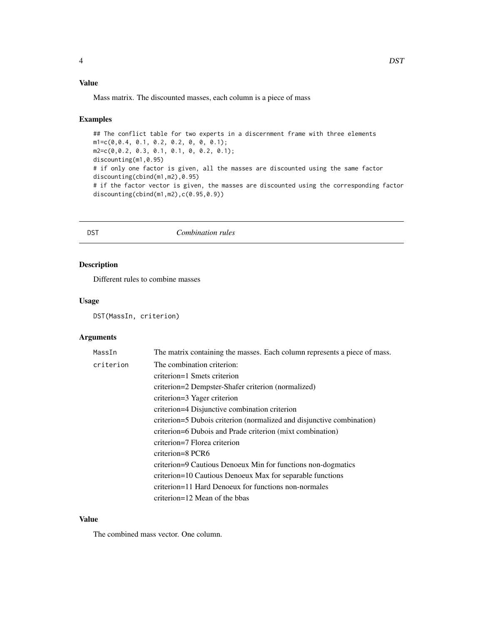# <span id="page-3-0"></span>Value

Mass matrix. The discounted masses, each column is a piece of mass

# Examples

## The conflict table for two experts in a discernment frame with three elements m1=c(0,0.4, 0.1, 0.2, 0.2, 0, 0, 0.1); m2=c(0,0.2, 0.3, 0.1, 0.1, 0, 0.2, 0.1); discounting(m1,0.95) # if only one factor is given, all the masses are discounted using the same factor discounting(cbind(m1,m2),0.95) # if the factor vector is given, the masses are discounted using the corresponding factor discounting(cbind(m1,m2),c(0.95,0.9))

DST *Combination rules*

### Description

Different rules to combine masses

### Usage

DST(MassIn, criterion)

#### Arguments

| MassIn    | The matrix containing the masses. Each column represents a piece of mass. |
|-----------|---------------------------------------------------------------------------|
| criterion | The combination criterion:                                                |
|           | criterion=1 Smets criterion                                               |
|           | criterion=2 Dempster-Shafer criterion (normalized)                        |
|           | criterion=3 Yager criterion                                               |
|           | criterion=4 Disjunctive combination criterion                             |
|           | criterion=5 Dubois criterion (normalized and disjunctive combination)     |
|           | criterion=6 Dubois and Prade criterion (mixt combination)                 |
|           | criterion=7 Florea criterion                                              |
|           | criterion=8 PCR6                                                          |
|           | criterion=9 Cautious Denoeux Min for functions non-dogmatics              |
|           | criterion=10 Cautious Denoeux Max for separable functions                 |
|           | criterion=11 Hard Denoeux for functions non-normales                      |
|           | criterion=12 Mean of the bbas                                             |

# Value

The combined mass vector. One column.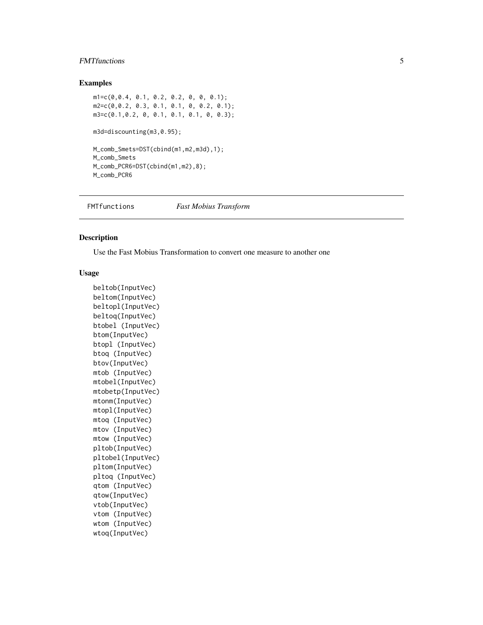# <span id="page-4-0"></span>FMTfunctions 5

# Examples

m1=c(0,0.4, 0.1, 0.2, 0.2, 0, 0, 0.1); m2=c(0,0.2, 0.3, 0.1, 0.1, 0, 0.2, 0.1); m3=c(0.1,0.2, 0, 0.1, 0.1, 0.1, 0, 0.3); m3d=discounting(m3,0.95); M\_comb\_Smets=DST(cbind(m1,m2,m3d),1); M\_comb\_Smets M\_comb\_PCR6=DST(cbind(m1,m2),8); M\_comb\_PCR6

FMTfunctions *Fast Mobius Transform*

#### Description

Use the Fast Mobius Transformation to convert one measure to another one

#### Usage

```
beltob(InputVec)
beltom(InputVec)
beltopl(InputVec)
beltoq(InputVec)
btobel (InputVec)
btom(InputVec)
btopl (InputVec)
btoq (InputVec)
btov(InputVec)
mtob (InputVec)
mtobel(InputVec)
mtobetp(InputVec)
mtonm(InputVec)
mtopl(InputVec)
mtoq (InputVec)
mtov (InputVec)
mtow (InputVec)
pltob(InputVec)
pltobel(InputVec)
pltom(InputVec)
pltoq (InputVec)
qtom (InputVec)
qtow(InputVec)
vtob(InputVec)
vtom (InputVec)
wtom (InputVec)
wtoq(InputVec)
```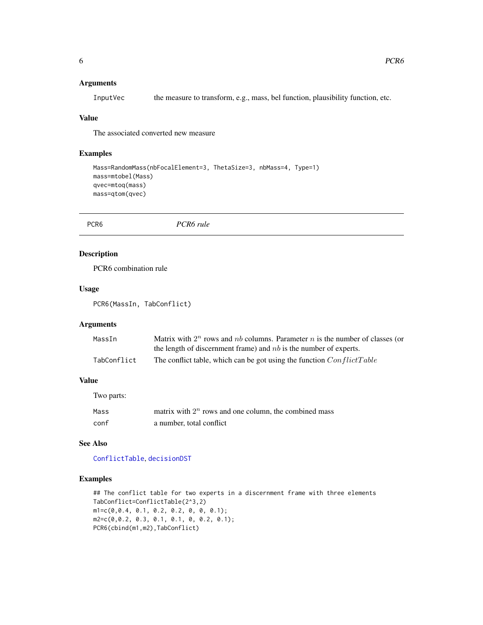# <span id="page-5-0"></span>Arguments

InputVec the measure to transform, e.g., mass, bel function, plausibility function, etc.

### Value

The associated converted new measure

#### Examples

```
Mass=RandomMass(nbFocalElement=3, ThetaSize=3, nbMass=4, Type=1)
mass=mtobel(Mass)
qvec=mtoq(mass)
mass=qtom(qvec)
```
<span id="page-5-1"></span>PCR6 *PCR6 rule*

# Description

PCR6 combination rule

#### Usage

PCR6(MassIn, TabConflict)

# Arguments

| MassIn      | Matrix with $2^n$ rows and nb columns. Parameter n is the number of classes (or |
|-------------|---------------------------------------------------------------------------------|
|             | the length of discernment frame) and $nb$ is the number of experts.             |
| TabConflict | The conflict table, which can be got using the function $ConflictTable$         |

# Value

| Two parts: |                                                          |
|------------|----------------------------------------------------------|
| Mass       | matrix with $2^n$ rows and one column, the combined mass |
| conf       | a number, total conflict                                 |

#### See Also

[ConflictTable](#page-1-2), [decisionDST](#page-1-1)

#### Examples

```
## The conflict table for two experts in a discernment frame with three elements
TabConflict=ConflictTable(2^3,2)
m1=c(0,0.4, 0.1, 0.2, 0.2, 0, 0, 0.1);
m2=c(0,0.2, 0.3, 0.1, 0.1, 0, 0.2, 0.1);
PCR6(cbind(m1,m2),TabConflict)
```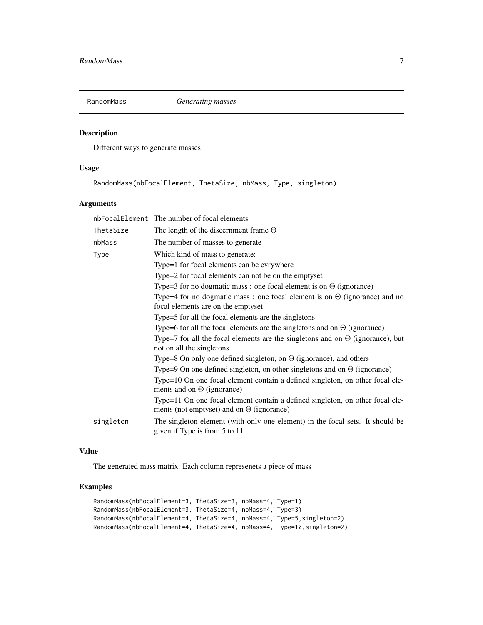<span id="page-6-0"></span>

#### Description

Different ways to generate masses

# Usage

RandomMass(nbFocalElement, ThetaSize, nbMass, Type, singleton)

# Arguments

|           | nbFocalElement The number of focal elements                                                                                       |
|-----------|-----------------------------------------------------------------------------------------------------------------------------------|
| ThetaSize | The length of the discernment frame $\Theta$                                                                                      |
| nbMass    | The number of masses to generate                                                                                                  |
| Type      | Which kind of mass to generate:                                                                                                   |
|           | Type=1 for focal elements can be evrywhere                                                                                        |
|           | Type=2 for focal elements can not be on the emptyset                                                                              |
|           | Type=3 for no dogmatic mass : one focal element is on $\Theta$ (ignorance)                                                        |
|           | Type=4 for no dogmatic mass : one focal element is on $\Theta$ (ignorance) and no<br>focal elements are on the emptyset           |
|           | Type=5 for all the focal elements are the singletons                                                                              |
|           | Type=6 for all the focal elements are the singletons and on $\Theta$ (ignorance)                                                  |
|           | Type=7 for all the focal elements are the singletons and on $\Theta$ (ignorance), but<br>not on all the singletons                |
|           | Type=8 On only one defined singleton, on $\Theta$ (ignorance), and others                                                         |
|           | Type=9 On one defined singleton, on other singletons and on $\Theta$ (ignorance)                                                  |
|           | Type=10 On one focal element contain a defined singleton, on other focal ele-<br>ments and on $\Theta$ (ignorance)                |
|           | Type=11 On one focal element contain a defined singleton, on other focal ele-<br>ments (not emptyset) and on $\Theta$ (ignorance) |
| singleton | The singleton element (with only one element) in the focal sets. It should be<br>given if Type is from 5 to 11                    |

# Value

The generated mass matrix. Each column represenets a piece of mass

# Examples

```
RandomMass(nbFocalElement=3, ThetaSize=3, nbMass=4, Type=1)
RandomMass(nbFocalElement=3, ThetaSize=4, nbMass=4, Type=3)
RandomMass(nbFocalElement=4, ThetaSize=4, nbMass=4, Type=5,singleton=2)
RandomMass(nbFocalElement=4, ThetaSize=4, nbMass=4, Type=10,singleton=2)
```